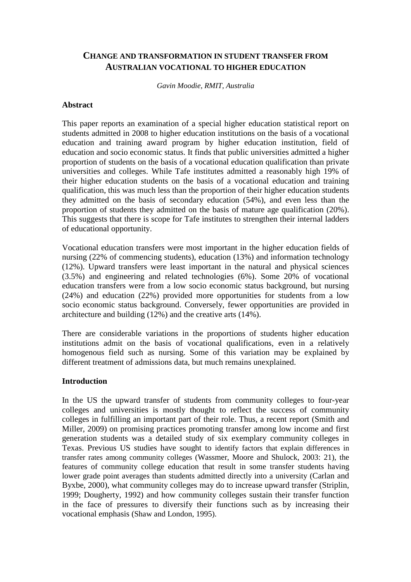# **CHANGE AND TRANSFORMATION IN STUDENT TRANSFER FROM AUSTRALIAN VOCATIONAL TO HIGHER EDUCATION**

*Gavin Moodie, RMIT, Australia* 

#### **Abstract**

This paper reports an examination of a special higher education statistical report on students admitted in 2008 to higher education institutions on the basis of a vocational education and training award program by higher education institution, field of education and socio economic status. It finds that public universities admitted a higher proportion of students on the basis of a vocational education qualification than private universities and colleges. While Tafe institutes admitted a reasonably high 19% of their higher education students on the basis of a vocational education and training qualification, this was much less than the proportion of their higher education students they admitted on the basis of secondary education (54%), and even less than the proportion of students they admitted on the basis of mature age qualification (20%). This suggests that there is scope for Tafe institutes to strengthen their internal ladders of educational opportunity.

Vocational education transfers were most important in the higher education fields of nursing (22% of commencing students), education (13%) and information technology (12%). Upward transfers were least important in the natural and physical sciences (3.5%) and engineering and related technologies (6%). Some 20% of vocational education transfers were from a low socio economic status background, but nursing (24%) and education (22%) provided more opportunities for students from a low socio economic status background. Conversely, fewer opportunities are provided in architecture and building (12%) and the creative arts (14%).

There are considerable variations in the proportions of students higher education institutions admit on the basis of vocational qualifications, even in a relatively homogenous field such as nursing. Some of this variation may be explained by different treatment of admissions data, but much remains unexplained.

### **Introduction**

In the US the upward transfer of students from community colleges to four-year colleges and universities is mostly thought to reflect the success of community colleges in fulfilling an important part of their role. Thus, a recent report (Smith and Miller, 2009) on promising practices promoting transfer among low income and first generation students was a detailed study of six exemplary community colleges in Texas. Previous US studies have sought to identify factors that explain differences in transfer rates among community colleges (Wassmer, Moore and Shulock, 2003: 21), the features of community college education that result in some transfer students having lower grade point averages than students admitted directly into a university (Carlan and Byxbe, 2000), what community colleges may do to increase upward transfer (Striplin, 1999; Dougherty, 1992) and how community colleges sustain their transfer function in the face of pressures to diversify their functions such as by increasing their vocational emphasis (Shaw and London, 1995).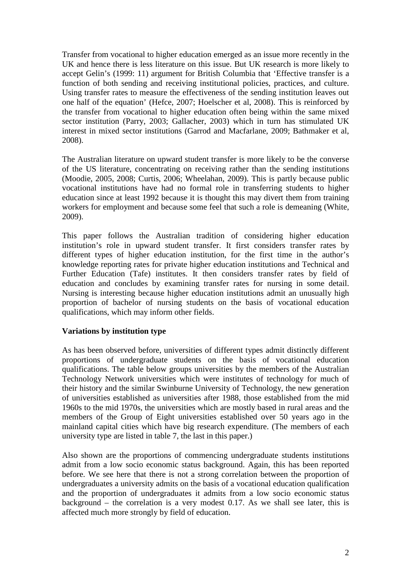Transfer from vocational to higher education emerged as an issue more recently in the UK and hence there is less literature on this issue. But UK research is more likely to accept Gelin's (1999: 11) argument for British Columbia that 'Effective transfer is a function of both sending and receiving institutional policies, practices, and culture. Using transfer rates to measure the effectiveness of the sending institution leaves out one half of the equation' (Hefce, 2007; Hoelscher et al, 2008). This is reinforced by the transfer from vocational to higher education often being within the same mixed sector institution (Parry, 2003; Gallacher, 2003) which in turn has stimulated UK interest in mixed sector institutions (Garrod and Macfarlane, 2009; Bathmaker et al, 2008).

The Australian literature on upward student transfer is more likely to be the converse of the US literature, concentrating on receiving rather than the sending institutions (Moodie, 2005, 2008; Curtis, 2006; Wheelahan, 2009). This is partly because public vocational institutions have had no formal role in transferring students to higher education since at least 1992 because it is thought this may divert them from training workers for employment and because some feel that such a role is demeaning (White, 2009).

This paper follows the Australian tradition of considering higher education institution's role in upward student transfer. It first considers transfer rates by different types of higher education institution, for the first time in the author's knowledge reporting rates for private higher education institutions and Technical and Further Education (Tafe) institutes. It then considers transfer rates by field of education and concludes by examining transfer rates for nursing in some detail. Nursing is interesting because higher education institutions admit an unusually high proportion of bachelor of nursing students on the basis of vocational education qualifications, which may inform other fields.

### **Variations by institution type**

As has been observed before, universities of different types admit distinctly different proportions of undergraduate students on the basis of vocational education qualifications. The table below groups universities by the members of the Australian Technology Network universities which were institutes of technology for much of their history and the similar Swinburne University of Technology, the new generation of universities established as universities after 1988, those established from the mid 1960s to the mid 1970s, the universities which are mostly based in rural areas and the members of the Group of Eight universities established over 50 years ago in the mainland capital cities which have big research expenditure. (The members of each university type are listed in table 7, the last in this paper.)

Also shown are the proportions of commencing undergraduate students institutions admit from a low socio economic status background. Again, this has been reported before. We see here that there is not a strong correlation between the proportion of undergraduates a university admits on the basis of a vocational education qualification and the proportion of undergraduates it admits from a low socio economic status background – the correlation is a very modest 0.17. As we shall see later, this is affected much more strongly by field of education.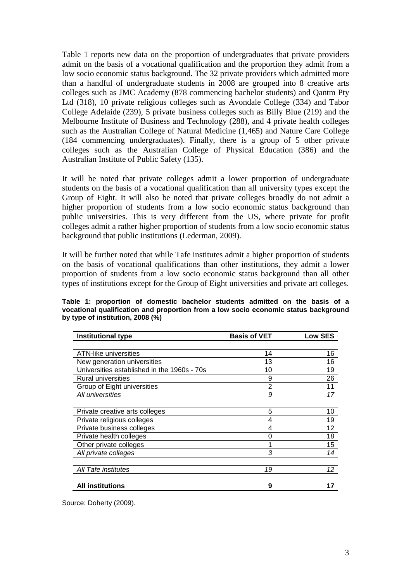Table 1 reports new data on the proportion of undergraduates that private providers admit on the basis of a vocational qualification and the proportion they admit from a low socio economic status background. The 32 private providers which admitted more than a handful of undergraduate students in 2008 are grouped into 8 creative arts colleges such as JMC Academy (878 commencing bachelor students) and Qantm Pty Ltd (318), 10 private religious colleges such as Avondale College (334) and Tabor College Adelaide (239), 5 private business colleges such as Billy Blue (219) and the Melbourne Institute of Business and Technology (288), and 4 private health colleges such as the Australian College of Natural Medicine (1,465) and Nature Care College (184 commencing undergraduates). Finally, there is a group of 5 other private colleges such as the Australian College of Physical Education (386) and the Australian Institute of Public Safety (135).

It will be noted that private colleges admit a lower proportion of undergraduate students on the basis of a vocational qualification than all university types except the Group of Eight. It will also be noted that private colleges broadly do not admit a higher proportion of students from a low socio economic status background than public universities. This is very different from the US, where private for profit colleges admit a rather higher proportion of students from a low socio economic status background that public institutions (Lederman, 2009).

It will be further noted that while Tafe institutes admit a higher proportion of students on the basis of vocational qualifications than other institutions, they admit a lower proportion of students from a low socio economic status background than all other types of institutions except for the Group of Eight universities and private art colleges.

| <b>Institutional type</b>                   | <b>Basis of VET</b> | <b>Low SES</b> |
|---------------------------------------------|---------------------|----------------|
|                                             |                     |                |
| <b>ATN-like universities</b>                | 14                  | 16             |
| New generation universities                 | 13                  | 16             |
| Universities established in the 1960s - 70s | 10                  | 19             |
| <b>Rural universities</b>                   | 9                   | 26             |
| Group of Eight universities                 | 2                   | 11             |
| All universities                            | 9                   | 17             |
|                                             |                     |                |
| Private creative arts colleges              | 5                   | 10             |
| Private religious colleges                  | 4                   | 19             |
| Private business colleges                   | 4                   | 12             |
| Private health colleges                     | O                   | 18             |
| Other private colleges                      |                     | 15             |
| All private colleges                        | 3                   | 14             |
|                                             |                     |                |
| All Tafe institutes                         | 19                  | 12             |
|                                             |                     |                |
| <b>All institutions</b>                     | 9                   | 17             |

**Table 1: proportion of domestic bachelor students admitted on the basis of a vocational qualification and proportion from a low socio economic status background by type of institution, 2008 (%)** 

Source: Doherty (2009).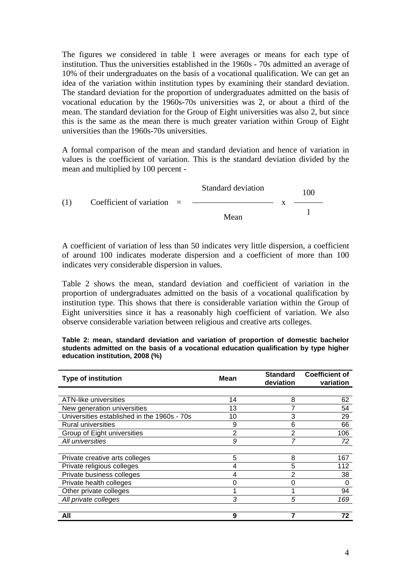The figures we considered in table 1 were averages or means for each type of institution. Thus the universities established in the 1960s - 70s admitted an average of 10% of their undergraduates on the basis of a vocational qualification. We can get an idea of the variation within institution types by examining their standard deviation. The standard deviation for the proportion of undergraduates admitted on the basis of vocational education by the 1960s-70s universities was 2, or about a third of the mean. The standard deviation for the Group of Eight universities was also 2, but since this is the same as the mean there is much greater variation within Group of Eight universities than the 1960s-70s universities.

A formal comparison of the mean and standard deviation and hence of variation in values is the coefficient of variation. This is the standard deviation divided by the mean and multiplied by 100 percent -

Standard deviation 100 (1) Coefficient of variation  $=$ Mean x 1

A coefficient of variation of less than 50 indicates very little dispersion, a coefficient of around 100 indicates moderate dispersion and a coefficient of more than 100 indicates very considerable dispersion in values.

Table 2 shows the mean, standard deviation and coefficient of variation in the proportion of undergraduates admitted on the basis of a vocational qualification by institution type. This shows that there is considerable variation within the Group of Eight universities since it has a reasonably high coefficient of variation. We also observe considerable variation between religious and creative arts colleges.

**Table 2: mean, standard deviation and variation of proportion of domestic bachelor students admitted on the basis of a vocational education qualification by type higher education institution, 2008 (%)** 

| <b>Type of institution</b>                  | Mean | <b>Standard</b><br>deviation | <b>Coefficient of</b><br>variation |
|---------------------------------------------|------|------------------------------|------------------------------------|
|                                             |      |                              |                                    |
| ATN-like universities                       | 14   | 8                            | 62                                 |
| New generation universities                 | 13   |                              | 54                                 |
| Universities established in the 1960s - 70s | 10   | 3                            | 29                                 |
| <b>Rural universities</b>                   | 9    | 6                            | 66                                 |
| Group of Eight universities                 | 2    | 2                            | 106                                |
| All universities                            | 9    |                              | 72                                 |
|                                             |      |                              |                                    |
| Private creative arts colleges              | 5    | 8                            | 167                                |
| Private religious colleges                  | 4    | 5                            | 112                                |
| Private business colleges                   | 4    | 2                            | 38                                 |
| Private health colleges                     |      |                              | O                                  |
| Other private colleges                      |      |                              | 94                                 |
| All private colleges                        | 3    | 5                            | 169                                |
|                                             |      |                              |                                    |
| All                                         | 9    |                              | 72                                 |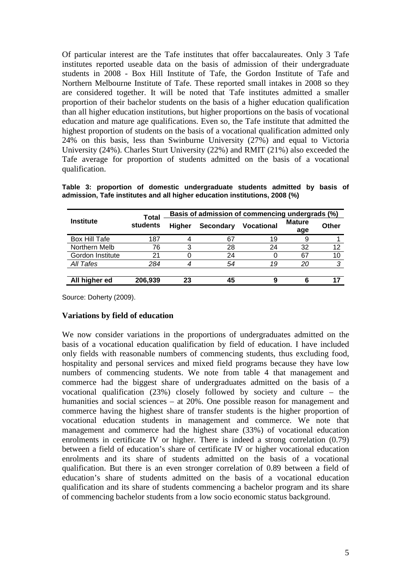Of particular interest are the Tafe institutes that offer baccalaureates. Only 3 Tafe institutes reported useable data on the basis of admission of their undergraduate students in 2008 - Box Hill Institute of Tafe, the Gordon Institute of Tafe and Northern Melbourne Institute of Tafe. These reported small intakes in 2008 so they are considered together. It will be noted that Tafe institutes admitted a smaller proportion of their bachelor students on the basis of a higher education qualification than all higher education institutions, but higher proportions on the basis of vocational education and mature age qualifications. Even so, the Tafe institute that admitted the highest proportion of students on the basis of a vocational qualification admitted only 24% on this basis, less than Swinburne University (27%) and equal to Victoria University (24%). Charles Sturt University (22%) and RMIT (21%) also exceeded the Tafe average for proportion of students admitted on the basis of a vocational qualification.

|                  | <b>Total</b> | Basis of admission of commencing undergrads (%) |                  |                   |                      |       |
|------------------|--------------|-------------------------------------------------|------------------|-------------------|----------------------|-------|
| <b>Institute</b> | students     | <b>Higher</b>                                   | <b>Secondary</b> | <b>Vocational</b> | <b>Mature</b><br>age | Other |
| Box Hill Tafe    | 187          |                                                 | 67               | 19                | 9                    |       |
| Northern Melb    | 76           | 3                                               | 28               | 24                | 32                   | 12    |
| Gordon Institute | 21           |                                                 | 24               |                   | 67                   | 10    |
| All Tafes        | 284          |                                                 | 54               | 19                | 20                   | ာ     |
| All higher ed    | 206,939      | 23                                              | 45               |                   |                      |       |

**Table 3: proportion of domestic undergraduate students admitted by basis of admission, Tafe institutes and all higher education institutions, 2008 (%)** 

Source: Doherty (2009).

### **Variations by field of education**

We now consider variations in the proportions of undergraduates admitted on the basis of a vocational education qualification by field of education. I have included only fields with reasonable numbers of commencing students, thus excluding food, hospitality and personal services and mixed field programs because they have low numbers of commencing students. We note from table 4 that management and commerce had the biggest share of undergraduates admitted on the basis of a vocational qualification (23%) closely followed by society and culture – the humanities and social sciences – at 20%. One possible reason for management and commerce having the highest share of transfer students is the higher proportion of vocational education students in management and commerce. We note that management and commerce had the highest share (33%) of vocational education enrolments in certificate IV or higher. There is indeed a strong correlation (0.79) between a field of education's share of certificate IV or higher vocational education enrolments and its share of students admitted on the basis of a vocational qualification. But there is an even stronger correlation of 0.89 between a field of education's share of students admitted on the basis of a vocational education qualification and its share of students commencing a bachelor program and its share of commencing bachelor students from a low socio economic status background.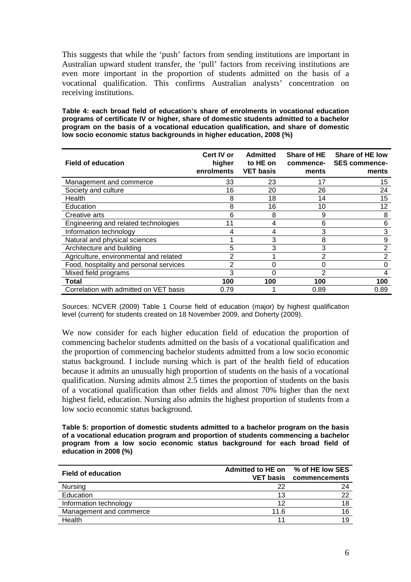This suggests that while the 'push' factors from sending institutions are important in Australian upward student transfer, the 'pull' factors from receiving institutions are even more important in the proportion of students admitted on the basis of a vocational qualification. This confirms Australian analysts' concentration on receiving institutions.

**Table 4: each broad field of education's share of enrolments in vocational education programs of certificate IV or higher, share of domestic students admitted to a bachelor program on the basis of a vocational education qualification, and share of domestic low socio economic status backgrounds in higher education, 2008 (%)** 

| <b>Field of education</b>               | Cert IV or<br>higher<br>enrolments | <b>Admitted</b><br>to HE on<br><b>VET basis</b> | <b>Share of HE</b><br>commence-<br>ments | Share of HE low<br><b>SES commence-</b><br>ments |
|-----------------------------------------|------------------------------------|-------------------------------------------------|------------------------------------------|--------------------------------------------------|
| Management and commerce                 | 33                                 | 23                                              | 17                                       | 15                                               |
| Society and culture                     | 16                                 | 20                                              | 26                                       | 24                                               |
| Health                                  | 8                                  | 18                                              | 14                                       | 15                                               |
| Education                               | 8                                  | 16                                              | 10                                       | 12                                               |
| Creative arts                           | 6                                  | 8                                               | 9                                        | 8                                                |
| Engineering and related technologies    | 11                                 | 4                                               | 6                                        | 6                                                |
| Information technology                  | 4                                  | 4                                               | 3                                        | 3                                                |
| Natural and physical sciences           |                                    | 3                                               | 8                                        | 9                                                |
| Architecture and building               | 5                                  | 3                                               | 3                                        | 2                                                |
| Agriculture, environmental and related  | 2                                  |                                                 | 2                                        | $\overline{2}$                                   |
| Food, hospitality and personal services | $\overline{2}$                     | 0                                               | 0                                        | 0                                                |
| Mixed field programs                    | 3                                  | 0                                               | 2                                        | 4                                                |
| Total                                   | 100                                | 100                                             | 100                                      | 100                                              |
| Correlation with admitted on VET basis  | 0.79                               |                                                 | 0.89                                     | 0.89                                             |

Sources: NCVER (2009) Table 1 Course field of education (major) by highest qualification level (current) for students created on 18 November 2009, and Doherty (2009).

We now consider for each higher education field of education the proportion of commencing bachelor students admitted on the basis of a vocational qualification and the proportion of commencing bachelor students admitted from a low socio economic status background. I include nursing which is part of the health field of education because it admits an unusually high proportion of students on the basis of a vocational qualification. Nursing admits almost 2.5 times the proportion of students on the basis of a vocational qualification than other fields and almost 70% higher than the next highest field, education. Nursing also admits the highest proportion of students from a low socio economic status background.

**Table 5: proportion of domestic students admitted to a bachelor program on the basis of a vocational education program and proportion of students commencing a bachelor program from a low socio economic status background for each broad field of education in 2008 (%)** 

| <b>Field of education</b> | Admitted to HE on % of HE low SES<br><b>VET basis</b> | commencements |
|---------------------------|-------------------------------------------------------|---------------|
| <b>Nursing</b>            | 22                                                    | 24            |
| Education                 | 13                                                    | 22            |
| Information technology    | 12                                                    | 18            |
| Management and commerce   | 11.6                                                  | 16            |
| Health                    | 11                                                    | 19            |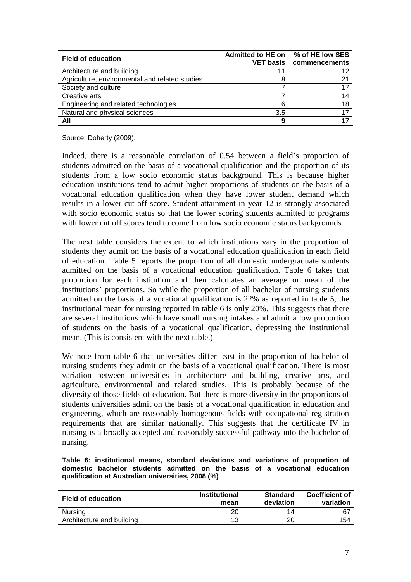| <b>Field of education</b>                      | Admitted to HE on % of HE low SES | <b>VET basis commencements</b> |
|------------------------------------------------|-----------------------------------|--------------------------------|
| Architecture and building                      | 11                                | 12                             |
| Agriculture, environmental and related studies |                                   | 21                             |
| Society and culture                            |                                   |                                |
| Creative arts                                  |                                   | 14                             |
| Engineering and related technologies           |                                   | 18                             |
| Natural and physical sciences                  | 3.5                               |                                |
| All                                            | 9                                 |                                |

Source: Doherty (2009).

Indeed, there is a reasonable correlation of 0.54 between a field's proportion of students admitted on the basis of a vocational qualification and the proportion of its students from a low socio economic status background. This is because higher education institutions tend to admit higher proportions of students on the basis of a vocational education qualification when they have lower student demand which results in a lower cut-off score. Student attainment in year 12 is strongly associated with socio economic status so that the lower scoring students admitted to programs with lower cut off scores tend to come from low socio economic status backgrounds.

The next table considers the extent to which institutions vary in the proportion of students they admit on the basis of a vocational education qualification in each field of education. Table 5 reports the proportion of all domestic undergraduate students admitted on the basis of a vocational education qualification. Table 6 takes that proportion for each institution and then calculates an average or mean of the institutions' proportions. So while the proportion of all bachelor of nursing students admitted on the basis of a vocational qualification is 22% as reported in table 5, the institutional mean for nursing reported in table 6 is only 20%. This suggests that there are several institutions which have small nursing intakes and admit a low proportion of students on the basis of a vocational qualification, depressing the institutional mean. (This is consistent with the next table.)

We note from table 6 that universities differ least in the proportion of bachelor of nursing students they admit on the basis of a vocational qualification. There is most variation between universities in architecture and building, creative arts, and agriculture, environmental and related studies. This is probably because of the diversity of those fields of education. But there is more diversity in the proportions of students universities admit on the basis of a vocational qualification in education and engineering, which are reasonably homogenous fields with occupational registration requirements that are similar nationally. This suggests that the certificate IV in nursing is a broadly accepted and reasonably successful pathway into the bachelor of nursing.

**Table 6: institutional means, standard deviations and variations of proportion of domestic bachelor students admitted on the basis of a vocational education qualification at Australian universities, 2008 (%)** 

| <b>Field of education</b> | <b>Institutional</b><br>mean | <b>Standard</b><br>deviation | <b>Coefficient of</b><br>variation |
|---------------------------|------------------------------|------------------------------|------------------------------------|
| <b>Nursing</b>            | 20                           | 14                           | -6                                 |
| Architecture and building | 12                           |                              | 154                                |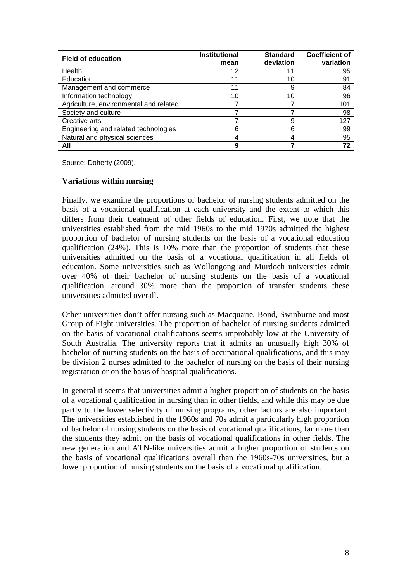| <b>Field of education</b>              | <b>Institutional</b><br>mean | <b>Standard</b><br>deviation | <b>Coefficient of</b><br>variation |
|----------------------------------------|------------------------------|------------------------------|------------------------------------|
| Health                                 | 12                           | 11                           | 95                                 |
| Education                              | 11                           | 10                           | 91                                 |
| Management and commerce                | 11                           |                              | 84                                 |
| Information technology                 | 10                           | 10                           | 96                                 |
| Agriculture, environmental and related |                              |                              | 101                                |
| Society and culture                    |                              |                              | 98                                 |
| Creative arts                          |                              |                              | 127                                |
| Engineering and related technologies   |                              |                              | 99                                 |
| Natural and physical sciences          |                              |                              | 95                                 |
| All                                    |                              |                              | 72                                 |

Source: Doherty (2009).

## **Variations within nursing**

Finally, we examine the proportions of bachelor of nursing students admitted on the basis of a vocational qualification at each university and the extent to which this differs from their treatment of other fields of education. First, we note that the universities established from the mid 1960s to the mid 1970s admitted the highest proportion of bachelor of nursing students on the basis of a vocational education qualification (24%). This is 10% more than the proportion of students that these universities admitted on the basis of a vocational qualification in all fields of education. Some universities such as Wollongong and Murdoch universities admit over 40% of their bachelor of nursing students on the basis of a vocational qualification, around 30% more than the proportion of transfer students these universities admitted overall.

Other universities don't offer nursing such as Macquarie, Bond, Swinburne and most Group of Eight universities. The proportion of bachelor of nursing students admitted on the basis of vocational qualifications seems improbably low at the University of South Australia. The university reports that it admits an unusually high 30% of bachelor of nursing students on the basis of occupational qualifications, and this may be division 2 nurses admitted to the bachelor of nursing on the basis of their nursing registration or on the basis of hospital qualifications.

In general it seems that universities admit a higher proportion of students on the basis of a vocational qualification in nursing than in other fields, and while this may be due partly to the lower selectivity of nursing programs, other factors are also important. The universities established in the 1960s and 70s admit a particularly high proportion of bachelor of nursing students on the basis of vocational qualifications, far more than the students they admit on the basis of vocational qualifications in other fields. The new generation and ATN-like universities admit a higher proportion of students on the basis of vocational qualifications overall than the 1960s-70s universities, but a lower proportion of nursing students on the basis of a vocational qualification.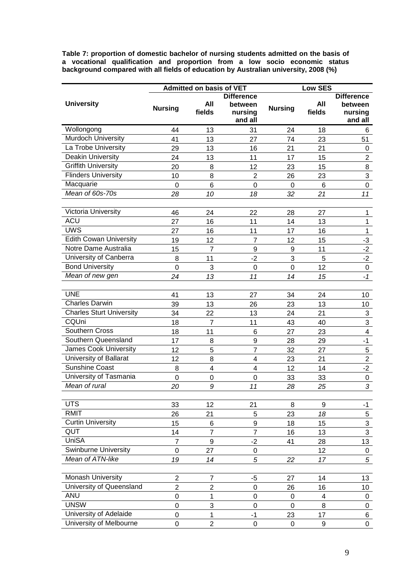**Table 7: proportion of domestic bachelor of nursing students admitted on the basis of a vocational qualification and proportion from a low socio economic status background compared with all fields of education by Australian university, 2008 (%)** 

|                                 |                                  | <b>Admitted on basis of VET</b>    |                                 |                   | <b>Low SES</b> |                           |
|---------------------------------|----------------------------------|------------------------------------|---------------------------------|-------------------|----------------|---------------------------|
|                                 |                                  |                                    | <b>Difference</b>               |                   |                | <b>Difference</b>         |
| <b>University</b>               | <b>Nursing</b>                   | All                                | between                         | <b>Nursing</b>    | All            | between                   |
|                                 |                                  | fields                             | nursing<br>and all              |                   | fields         | nursing<br>and all        |
| Wollongong                      | 44                               | 13                                 | 31                              | 24                | 18             | 6                         |
| Murdoch University              | 41                               | 13                                 | 27                              | 74                | 23             | 51                        |
| La Trobe University             | 29                               | 13                                 | 16                              | 21                | 21             | $\boldsymbol{0}$          |
| <b>Deakin University</b>        | 24                               | 13                                 | 11                              | 17                | 15             | $\overline{2}$            |
| <b>Griffith University</b>      | 20                               | 8                                  | 12                              | 23                | 15             | 8                         |
| <b>Flinders University</b>      | 10                               | 8                                  | $\overline{2}$                  | 26                | 23             | 3                         |
| Macquarie                       | $\mathbf 0$                      | 6                                  | $\boldsymbol{0}$                | $\boldsymbol{0}$  | $\,6$          | $\pmb{0}$                 |
| Mean of 60s-70s                 | 28                               | 10                                 | 18                              | 32                | 21             | 11                        |
|                                 |                                  |                                    |                                 |                   |                |                           |
| Victoria University             | 46                               | 24                                 | 22                              | 28                | 27             | 1                         |
| <b>ACU</b>                      | 27                               | 16                                 | 11                              | 14                | 13             | 1                         |
| <b>UWS</b>                      | 27                               | 16                                 | 11                              | 17                | 16             | $\mathbf 1$               |
| <b>Edith Cowan University</b>   | 19                               | 12                                 | 7                               | 12                | 15             | $-3$                      |
| Notre Dame Australia            | 15                               | $\overline{7}$                     | 9                               | 9                 | 11             | $-2$                      |
| University of Canberra          | 8                                | 11                                 | $-2$                            | 3                 | 5              | $-2$                      |
| <b>Bond University</b>          | $\mathbf 0$                      | 3                                  | $\boldsymbol{0}$                | $\mathbf 0$       | 12             | $\overline{0}$            |
| Mean of new gen                 | 24                               | 13                                 | 11                              | 14                | 15             | $-1$                      |
|                                 |                                  |                                    |                                 |                   |                |                           |
| <b>UNE</b>                      | 41                               | 13                                 | 27                              | 34                | 24             | 10                        |
| <b>Charles Darwin</b>           | 39                               | 13                                 | 26                              | 23                | 13             | 10                        |
| <b>Charles Sturt University</b> | 34                               | 22                                 | 13                              | 24                | 21             | $\overline{3}$            |
| CQUni                           | 18                               | $\overline{7}$                     | 11                              | 43                | 40             | 3                         |
| Southern Cross                  | 18                               | 11                                 | 6                               | 27                | 23             | $\overline{\mathbf{4}}$   |
| Southern Queensland             | 17                               | 8                                  | $\boldsymbol{9}$                | 28                | 29             | $-1$                      |
| James Cook University           | 12                               | 5                                  | $\overline{7}$                  | 32                | 27             | 5                         |
| University of Ballarat          | 12                               | 8                                  | $\overline{\mathbf{4}}$         | 23                | 21             | $\mathbf 2$               |
| <b>Sunshine Coast</b>           | 8                                | $\overline{\mathbf{4}}$            | $\overline{\mathbf{4}}$         | 12                | 14             | $-2$                      |
| University of Tasmania          | $\mathbf 0$                      | $\boldsymbol{0}$                   | $\mathbf 0$                     | 33                | 33             | $\mathbf 0$               |
| Mean of rural                   | 20                               | 9                                  | 11                              | 28                | 25             | 3                         |
|                                 |                                  |                                    |                                 |                   |                |                           |
| <b>UTS</b>                      | 33                               | 12                                 | 21                              | 8                 | 9              | $-1$                      |
| <b>RMIT</b>                     | 26                               | 21                                 | 5                               | 23                | 18             | $\sqrt{5}$                |
| <b>Curtin University</b>        | 15                               | $\,6$                              | $\boldsymbol{9}$                | 18                | 15             | $\ensuremath{\mathsf{3}}$ |
| QUT                             | 14                               | $\overline{7}$                     | $\overline{7}$                  | 16                | 13             | 3                         |
| <b>UniSA</b>                    | $\overline{7}$                   | $\boldsymbol{9}$                   | $-2$                            | 41                | 28             | 13                        |
| <b>Swinburne University</b>     | $\mathbf 0$                      | 27                                 | $\boldsymbol{0}$                |                   | 12             | $\mathbf 0$               |
| Mean of ATN-like                | 19                               | 14                                 | 5                               | 22                | 17             | 5                         |
| <b>Monash University</b>        |                                  |                                    |                                 |                   |                |                           |
| University of Queensland        | $\overline{2}$<br>$\overline{2}$ | $\boldsymbol{7}$<br>$\overline{2}$ | $-5$                            | 27                | 14<br>16       | 13                        |
| <b>ANU</b>                      | $\mathbf 0$                      |                                    | $\boldsymbol{0}$<br>$\mathbf 0$ | 26<br>$\mathbf 0$ | 4              | 10                        |
| <b>UNSW</b>                     | 0                                | 1<br>3                             | $\mathbf 0$                     | $\mathbf 0$       | 8              | 0                         |
| University of Adelaide          | 0                                | 1                                  | $-1$                            | 23                | 17             | $\mathbf 0$               |
| University of Melbourne         | 0                                | $\sqrt{2}$                         | $\pmb{0}$                       | $\mathbf 0$       | 9              | 6<br>$\pmb{0}$            |
|                                 |                                  |                                    |                                 |                   |                |                           |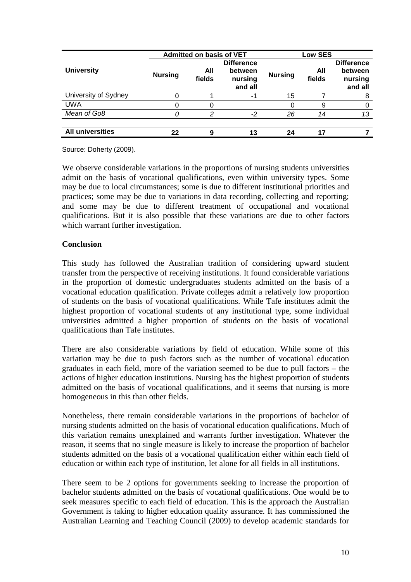|                         | <b>Admitted on basis of VET</b> |               |                                                    |                | <b>Low SES</b> |                                                    |  |
|-------------------------|---------------------------------|---------------|----------------------------------------------------|----------------|----------------|----------------------------------------------------|--|
| <b>University</b>       | <b>Nursing</b>                  | All<br>fields | <b>Difference</b><br>between<br>nursing<br>and all | <b>Nursing</b> | All<br>fields  | <b>Difference</b><br>between<br>nursing<br>and all |  |
| University of Sydney    |                                 |               | -1                                                 | 15             |                |                                                    |  |
| <b>UWA</b>              |                                 |               |                                                    |                | 9              |                                                    |  |
| Mean of Go8             |                                 | າ             | $-2$                                               | 26             | 14             | 13                                                 |  |
|                         |                                 |               |                                                    |                |                |                                                    |  |
| <b>All universities</b> | 22                              | 9             | 13                                                 | 24             | 17             |                                                    |  |

Source: Doherty (2009).

We observe considerable variations in the proportions of nursing students universities admit on the basis of vocational qualifications, even within university types. Some may be due to local circumstances; some is due to different institutional priorities and practices; some may be due to variations in data recording, collecting and reporting; and some may be due to different treatment of occupational and vocational qualifications. But it is also possible that these variations are due to other factors which warrant further investigation.

## **Conclusion**

This study has followed the Australian tradition of considering upward student transfer from the perspective of receiving institutions. It found considerable variations in the proportion of domestic undergraduates students admitted on the basis of a vocational education qualification. Private colleges admit a relatively low proportion of students on the basis of vocational qualifications. While Tafe institutes admit the highest proportion of vocational students of any institutional type, some individual universities admitted a higher proportion of students on the basis of vocational qualifications than Tafe institutes.

There are also considerable variations by field of education. While some of this variation may be due to push factors such as the number of vocational education graduates in each field, more of the variation seemed to be due to pull factors – the actions of higher education institutions. Nursing has the highest proportion of students admitted on the basis of vocational qualifications, and it seems that nursing is more homogeneous in this than other fields.

Nonetheless, there remain considerable variations in the proportions of bachelor of nursing students admitted on the basis of vocational education qualifications. Much of this variation remains unexplained and warrants further investigation. Whatever the reason, it seems that no single measure is likely to increase the proportion of bachelor students admitted on the basis of a vocational qualification either within each field of education or within each type of institution, let alone for all fields in all institutions.

There seem to be 2 options for governments seeking to increase the proportion of bachelor students admitted on the basis of vocational qualifications. One would be to seek measures specific to each field of education. This is the approach the Australian Government is taking to higher education quality assurance. It has commissioned the Australian Learning and Teaching Council (2009) to develop academic standards for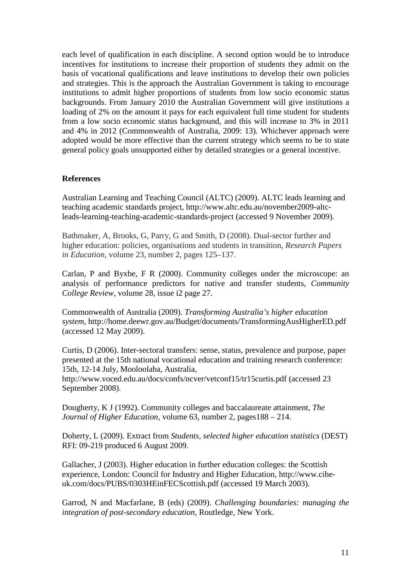each level of qualification in each discipline. A second option would be to introduce incentives for institutions to increase their proportion of students they admit on the basis of vocational qualifications and leave institutions to develop their own policies and strategies. This is the approach the Australian Government is taking to encourage institutions to admit higher proportions of students from low socio economic status backgrounds. From January 2010 the Australian Government will give institutions a loading of 2% on the amount it pays for each equivalent full time student for students from a low socio economic status background, and this will increase to 3% in 2011 and 4% in 2012 (Commonwealth of Australia, 2009: 13). Whichever approach were adopted would be more effective than the current strategy which seems to be to state general policy goals unsupported either by detailed strategies or a general incentive.

#### **References**

Australian Learning and Teaching Council (ALTC) (2009). ALTC leads learning and teaching academic standards project, http://www.altc.edu.au/november2009-altcleads-learning-teaching-academic-standards-project (accessed 9 November 2009).

Bathmaker, A, Brooks, G, Parry, G and Smith, D (2008). Dual-sector further and higher education: policies, organisations and students in transition, *Research Papers in Education,* volume 23, number 2, pages 125–137.

Carlan, P and Byxbe, F R (2000). Community colleges under the microscope: an analysis of performance predictors for native and transfer students, *Community College Review*, volume 28, issue i2 page 27.

Commonwealth of Australia (2009). *Transforming Australia's higher education system,* http://home.deewr.gov.au/Budget/documents/TransformingAusHigherED.pdf (accessed 12 May 2009).

Curtis, D (2006). Inter-sectoral transfers: sense, status, prevalence and purpose, paper presented at the 15th national vocational education and training research conference: 15th, 12-14 July, Mooloolaba, Australia,

http://www.voced.edu.au/docs/confs/ncver/vetconf15/tr15curtis.pdf (accessed 23 September 2008).

Dougherty, K J (1992). Community colleges and baccalaureate attainment, *The Journal of Higher Education,* volume 63, number 2, pages188 – 214.

Doherty, L (2009). Extract from *Students, selected higher education statistics* (DEST) RFI: 09-219 produced 6 August 2009.

Gallacher, J (2003). Higher education in further education colleges: the Scottish experience, London: Council for Industry and Higher Education, http://www.ciheuk.com/docs/PUBS/0303HEinFECScottish.pdf (accessed 19 March 2003).

Garrod, N and Macfarlane, B (eds) (2009). *Challenging boundaries: managing the integration of post-secondary education*, Routledge, New York.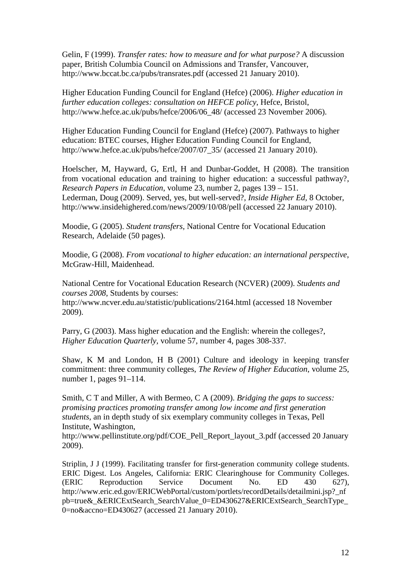Gelin, F (1999). *Transfer rates: how to measure and for what purpose?* A discussion paper, British Columbia Council on Admissions and Transfer, Vancouver, http://www.bccat.bc.ca/pubs/transrates.pdf (accessed 21 January 2010).

Higher Education Funding Council for England (Hefce) (2006). *Higher education in further education colleges: consultation on HEFCE policy*, Hefce, Bristol, http://www.hefce.ac.uk/pubs/hefce/2006/06\_48/ (accessed 23 November 2006).

Higher Education Funding Council for England (Hefce) (2007). Pathways to higher education: BTEC courses, Higher Education Funding Council for England, http://www.hefce.ac.uk/pubs/hefce/2007/07\_35/ (accessed 21 January 2010).

Hoelscher, M, Hayward, G, Ertl, H and Dunbar-Goddet, H (2008). The transition from vocational education and training to higher education: a successful pathway?, *Research Papers in Education*, volume 23, number 2, pages 139 – 151. Lederman, Doug (2009). Served, yes, but well-served?, *Inside Higher Ed,* 8 October, http://www.insidehighered.com/news/2009/10/08/pell (accessed 22 January 2010).

Moodie, G (2005). *Student transfers,* National Centre for Vocational Education Research, Adelaide (50 pages).

Moodie, G (2008). *From vocational to higher education: an international perspective*, McGraw-Hill, Maidenhead.

National Centre for Vocational Education Research (NCVER) (2009). *Students and courses 2008*, Students by courses: http://www.ncver.edu.au/statistic/publications/2164.html (accessed 18 November 2009).

Parry, G (2003). Mass higher education and the English: wherein the colleges?, *Higher Education Quarterly,* volume 57, number 4, pages 308-337.

Shaw, K M and London, H B (2001) Culture and ideology in keeping transfer commitment: three community colleges, *The Review of Higher Education*, volume 25, number 1, pages 91–114.

Smith, C T and Miller, A with Bermeo, C A (2009). *Bridging the gaps to success: promising practices promoting transfer among low income and first generation students*, an in depth study of six exemplary community colleges in Texas, Pell Institute, Washington,

http://www.pellinstitute.org/pdf/COE\_Pell\_Report\_layout\_3.pdf (accessed 20 January 2009).

Striplin, J J (1999). Facilitating transfer for first-generation community college students. ERIC Digest. Los Angeles, California: ERIC Clearinghouse for Community Colleges. (ERIC Reproduction Service Document No. ED 430 627), http://www.eric.ed.gov/ERICWebPortal/custom/portlets/recordDetails/detailmini.jsp?\_nf pb=true&\_&ERICExtSearch\_SearchValue\_0=ED430627&ERICExtSearch\_SearchType\_ 0=no&accno=ED430627 (accessed 21 January 2010).